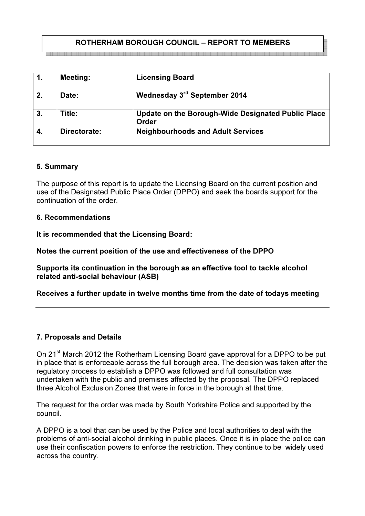# ROTHERHAM BOROUGH COUNCIL – REPORT TO MEMBERS

| 1. | <b>Meeting:</b> | <b>Licensing Board</b>                                      |
|----|-----------------|-------------------------------------------------------------|
| 2. | Date:           | Wednesday 3rd September 2014                                |
| 3. | Title:          | Update on the Borough-Wide Designated Public Place<br>Order |
| 4. | Directorate:    | <b>Neighbourhoods and Adult Services</b>                    |

#### 5. Summary

The purpose of this report is to update the Licensing Board on the current position and use of the Designated Public Place Order (DPPO) and seek the boards support for the continuation of the order.

### 6. Recommendations

It is recommended that the Licensing Board:

Notes the current position of the use and effectiveness of the DPPO

Supports its continuation in the borough as an effective tool to tackle alcohol related anti-social behaviour (ASB)

Receives a further update in twelve months time from the date of todays meeting

## 7. Proposals and Details

On 21<sup>st</sup> March 2012 the Rotherham Licensing Board gave approval for a DPPO to be put in place that is enforceable across the full borough area. The decision was taken after the regulatory process to establish a DPPO was followed and full consultation was undertaken with the public and premises affected by the proposal. The DPPO replaced three Alcohol Exclusion Zones that were in force in the borough at that time.

The request for the order was made by South Yorkshire Police and supported by the council.

A DPPO is a tool that can be used by the Police and local authorities to deal with the problems of anti-social alcohol drinking in public places. Once it is in place the police can use their confiscation powers to enforce the restriction. They continue to be widely used across the country.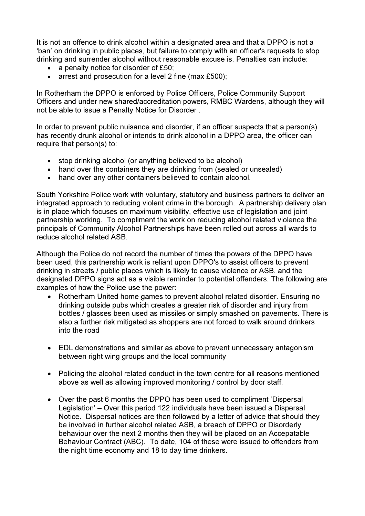It is not an offence to drink alcohol within a designated area and that a DPPO is not a 'ban' on drinking in public places, but failure to comply with an officer's requests to stop drinking and surrender alcohol without reasonable excuse is. Penalties can include:

- a penalty notice for disorder of £50;
- arrest and prosecution for a level 2 fine (max £500);

In Rotherham the DPPO is enforced by Police Officers, Police Community Support Officers and under new shared/accreditation powers, RMBC Wardens, although they will not be able to issue a Penalty Notice for Disorder .

In order to prevent public nuisance and disorder, if an officer suspects that a person(s) has recently drunk alcohol or intends to drink alcohol in a DPPO area, the officer can require that person(s) to:

- stop drinking alcohol (or anything believed to be alcohol)
- hand over the containers they are drinking from (sealed or unsealed)
- hand over any other containers believed to contain alcohol.

South Yorkshire Police work with voluntary, statutory and business partners to deliver an integrated approach to reducing violent crime in the borough. A partnership delivery plan is in place which focuses on maximum visibility, effective use of legislation and joint partnership working. To compliment the work on reducing alcohol related violence the principals of Community Alcohol Partnerships have been rolled out across all wards to reduce alcohol related ASB.

Although the Police do not record the number of times the powers of the DPPO have been used, this partnership work is reliant upon DPPO's to assist officers to prevent drinking in streets / public places which is likely to cause violence or ASB, and the designated DPPO signs act as a visible reminder to potential offenders. The following are examples of how the Police use the power:

- Rotherham United home games to prevent alcohol related disorder. Ensuring no drinking outside pubs which creates a greater risk of disorder and injury from bottles / glasses been used as missiles or simply smashed on pavements. There is also a further risk mitigated as shoppers are not forced to walk around drinkers into the road
- EDL demonstrations and similar as above to prevent unnecessary antagonism between right wing groups and the local community
- Policing the alcohol related conduct in the town centre for all reasons mentioned above as well as allowing improved monitoring / control by door staff.
- Over the past 6 months the DPPO has been used to compliment 'Dispersal Legislation' – Over this period 122 individuals have been issued a Dispersal Notice. Dispersal notices are then followed by a letter of advice that should they be involved in further alcohol related ASB, a breach of DPPO or Disorderly behaviour over the next 2 months then they will be placed on an Accepatable Behaviour Contract (ABC). To date, 104 of these were issued to offenders from the night time economy and 18 to day time drinkers.